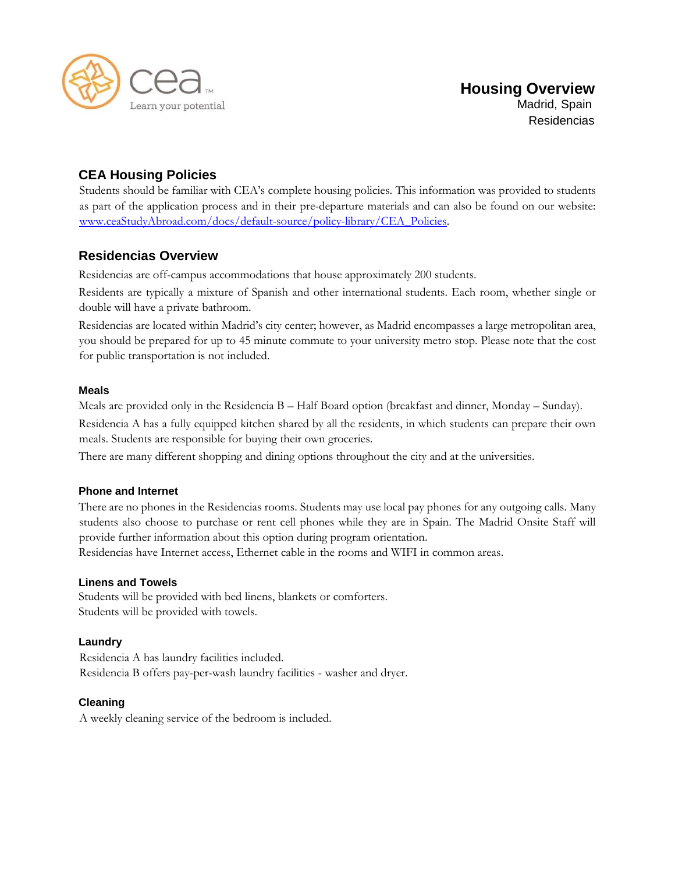

# **CEA Housing Policies**

Students should be familiar with CEA's complete housing policies. This information was provided to students as part of the application process and in their pre-departure materials and can also be found on our websit[e:](http://www.ceastudyabroad.com/docs/default-source/policy-library/CEA_Policies) [www.ceaStudyAbroad.com/docs/default-source/policy-library/CEA\\_Policies.](http://www.ceastudyabroad.com/docs/default-source/policy-library/CEA_Policies) 

# **Residencias Overview**

Residencias are off-campus accommodations that house approximately 200 students.

Residents are typically a mixture of Spanish and other international students. Each room, whether single or double will have a private bathroom.

Residencias are located within Madrid's city center; however, as Madrid encompasses a large metropolitan area, you should be prepared for up to 45 minute commute to your university metro stop. Please note that the cost for public transportation is not included.

# **Meals**

Meals are provided only in the Residencia B – Half Board option (breakfast and dinner, Monday – Sunday).

Residencia A has a fully equipped kitchen shared by all the residents, in which students can prepare their own meals. Students are responsible for buying their own groceries.

There are many different shopping and dining options throughout the city and at the universities.

# **Phone and Internet**

There are no phones in the Residencias rooms. Students may use local pay phones for any outgoing calls. Many students also choose to purchase or rent cell phones while they are in Spain. The Madrid Onsite Staff will provide further information about this option during program orientation.

Residencias have Internet access, Ethernet cable in the rooms and WIFI in common areas.

# **Linens and Towels**

Students will be provided with bed linens, blankets or comforters. Students will be provided with towels.

# **Laundry**

Residencia A has laundry facilities included. Residencia B offers pay-per-wash laundry facilities - washer and dryer.

# **Cleaning**

A weekly cleaning service of the bedroom is included.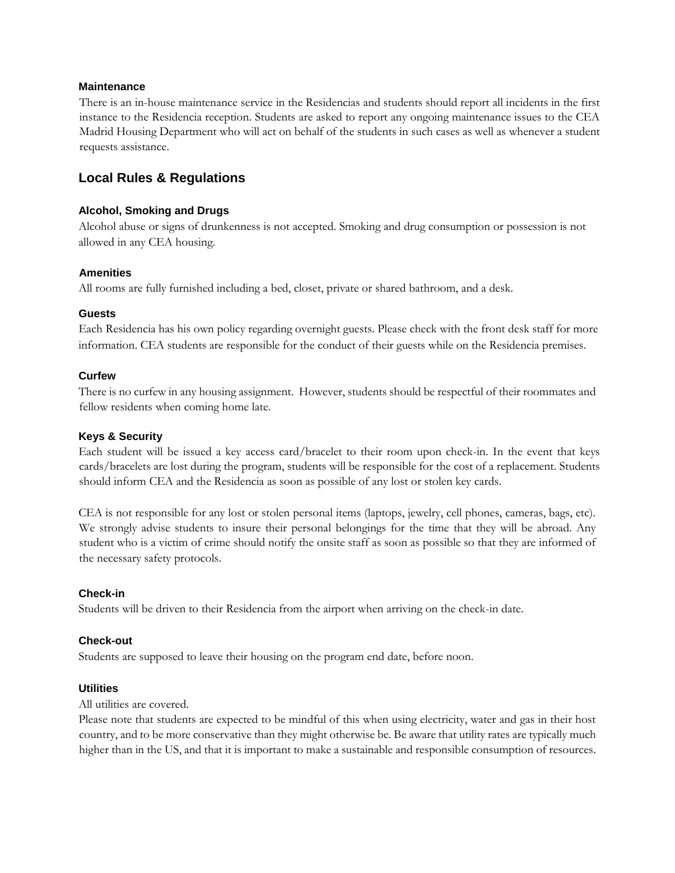#### **Maintenance**

There is an in-house maintenance service in the Residencias and students should report all incidents in the first instance to the Residencia reception. Students are asked to report any ongoing maintenance issues to the CEA Madrid Housing Department who will act on behalf of the students in such cases as well as whenever a student requests assistance.

# **Local Rules & Regulations**

#### **Alcohol, Smoking and Drugs**

Alcohol abuse or signs of drunkenness is not accepted. Smoking and drug consumption or possession is not allowed in any CEA housing.

#### **Amenities**

All rooms are fully furnished including a bed, closet, private or shared bathroom, and a desk.

#### **Guests**

Each Residencia has his own policy regarding overnight guests. Please check with the front desk staff for more information. CEA students are responsible for the conduct of their guests while on the Residencia premises.

#### **Curfew**

There is no curfew in any housing assignment. However, students should be respectful of their roommates and fellow residents when coming home late.

#### **Keys & Security**

Each student will be issued a key access card/bracelet to their room upon check-in. In the event that keys cards/bracelets are lost during the program, students will be responsible for the cost of a replacement. Students should inform CEA and the Residencia as soon as possible of any lost or stolen key cards.

CEA is not responsible for any lost or stolen personal items (laptops, jewelry, cell phones, cameras, bags, etc). We strongly advise students to insure their personal belongings for the time that they will be abroad. Any student who is a victim of crime should notify the onsite staff as soon as possible so that they are informed of the necessary safety protocols.

#### **Check-in**

Students will be driven to their Residencia from the airport when arriving on the check-in date.

#### **Check-out**

Students are supposed to leave their housing on the program end date, before noon.

#### **Utilities**

All utilities are covered.

Please note that students are expected to be mindful of this when using electricity, water and gas in their host country, and to be more conservative than they might otherwise be. Be aware that utility rates are typically much higher than in the US, and that it is important to make a sustainable and responsible consumption of resources.